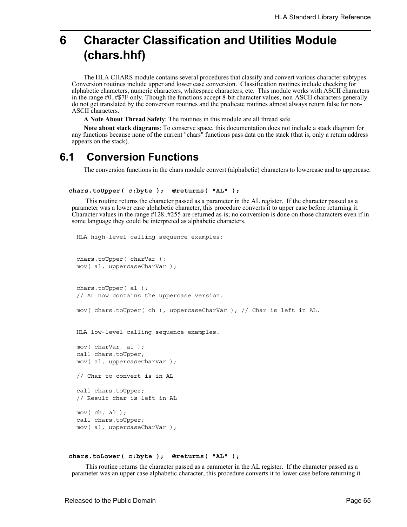# **6 Character Classification and Utilities Module (chars.hhf)**

The HLA CHARS module contains several procedures that classify and convert various character subtypes. Conversion routines include upper and lower case conversion. Classification routines include checking for alphabetic characters, numeric characters, whitespace characters, etc. This module works with ASCII characters in the range #0..#\$7F only. Though the functions accept 8-bit character values, non-ASCII characters generally do not get translated by the conversion routines and the predicate routines almost always return false for non-ASCII characters.

**A Note About Thread Safety**: The routines in this module are all thread safe.

**Note about stack diagrams**: To conserve space, this documentation does not include a stack diagram for any functions because none of the current "chars" functions pass data on the stack (that is, only a return address appears on the stack).

## **6.1 Conversion Functions**

The conversion functions in the chars module convert (alphabetic) characters to lowercase and to uppercase.

```
 chars.toUpper( c:byte ); @returns( "AL" );
```
 This routine returns the character passed as a parameter in the AL register. If the character passed as a parameter was a lower case alphabetic character, this procedure converts it to upper case before returning it. Character values in the range #128..#255 are returned as-is; no conversion is done on those characters even if in some language they could be interpreted as alphabetic characters.

```
HLA high-level calling sequence examples:
chars.toUpper( charVar );
mov( al, uppercaseCharVar );
chars.toUpper( al );
// AL now contains the uppercase version.
mov( chars.toUpper( ch ), uppercaseCharVar ); // Char is left in AL.
HLA low-level calling sequence examples:
mov( charVar, al );
call chars.toUpper;
mov( al, uppercaseCharVar );
// Char to convert is in AL
call chars.toUpper;
// Result char is left in AL
mov( ch, al );call chars.toUpper;
mov( al, uppercaseCharVar );
```

```
 chars.toLower( c:byte ); @returns( "AL" );
```
 This routine returns the character passed as a parameter in the AL register. If the character passed as a parameter was an upper case alphabetic character, this procedure converts it to lower case before returning it.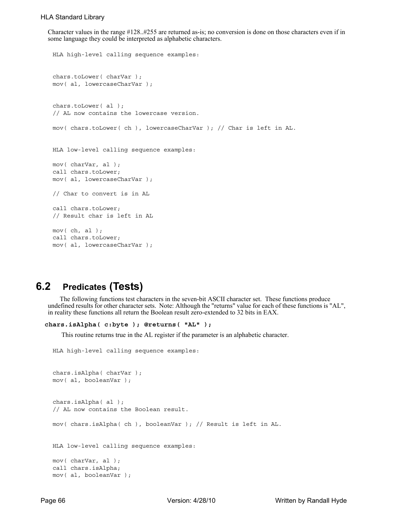Character values in the range #128..#255 are returned as-is; no conversion is done on those characters even if in some language they could be interpreted as alphabetic characters.

```
HLA high-level calling sequence examples:
chars.toLower( charVar );
mov( al, lowercaseCharVar );
chars.toLower( al );
// AL now contains the lowercase version.
mov( chars.toLower( ch ), lowercaseCharVar ); // Char is left in AL.
HLA low-level calling sequence examples:
mov( charVar, al );
call chars.toLower;
mov( al, lowercaseCharVar );
// Char to convert is in AL
call chars.toLower;
// Result char is left in AL
mov( ch, al );
call chars.toLower;
mov( al, lowercaseCharVar );
```
## **6.2 Predicates (Tests)**

The following functions test characters in the seven-bit ASCII character set. These functions produce undefined results for other character sets. Note: Although the "returns" value for each of these functions is "AL", in reality these functions all return the Boolean result zero-extended to 32 bits in EAX.

```
 chars.isAlpha( c:byte ); @returns( "AL" );
```
This routine returns true in the AL register if the parameter is an alphabetic character.

```
HLA high-level calling sequence examples:
```

```
chars.isAlpha( charVar );
mov( al, booleanVar );
chars.isAlpha( al );
// AL now contains the Boolean result.
mov( chars.isAlpha( ch ), booleanVar ); // Result is left in AL.
HLA low-level calling sequence examples:
mov( charVar, al );
call chars.isAlpha;
mov( al, booleanVar );
```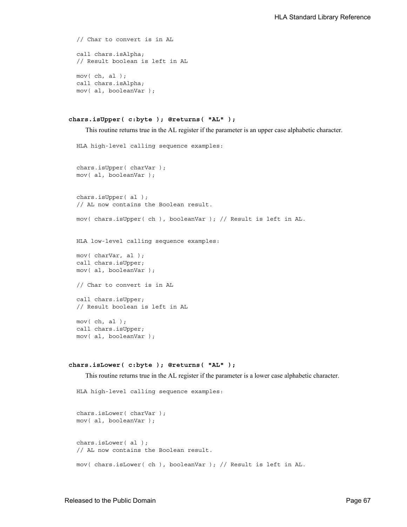```
// Char to convert is in AL
call chars.isAlpha;
// Result boolean is left in AL
mov( ch, al );
call chars.isAlpha;
mov( al, booleanVar );
```

```
 chars.isUpper( c:byte ); @returns( "AL" );
```
This routine returns true in the AL register if the parameter is an upper case alphabetic character.

```
HLA high-level calling sequence examples:
chars.isUpper( charVar );
mov( al, booleanVar );
chars.isUpper( al );
// AL now contains the Boolean result.
mov( chars.isUpper( ch ), booleanVar ); // Result is left in AL.
HLA low-level calling sequence examples:
mov( charVar, al );
call chars.isUpper;
mov( al, booleanVar );
// Char to convert is in AL
call chars.isUpper;
// Result boolean is left in AL
mov( ch, al );
call chars.isUpper;
mov( al, booleanVar );
```
#### **chars.isLower( c:byte ); @returns( "AL" );**

This routine returns true in the AL register if the parameter is a lower case alphabetic character.

```
HLA high-level calling sequence examples:
chars.isLower( charVar );
mov( al, booleanVar );
chars.isLower( al );
// AL now contains the Boolean result.
mov( chars.isLower( ch ), booleanVar ); // Result is left in AL.
```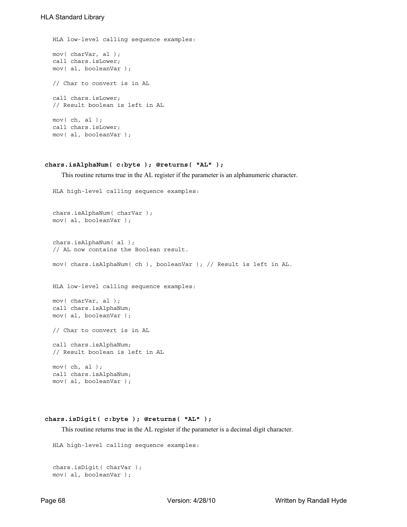```
HLA low-level calling sequence examples:
mov( charVar, al );
call chars.isLower;
mov( al, booleanVar );
// Char to convert is in AL
call chars.isLower;
// Result boolean is left in AL
mov( ch, al );
call chars.isLower;
mov( al, booleanVar );
```
#### **chars.isAlphaNum( c:byte ); @returns( "AL" );**

This routine returns true in the AL register if the parameter is an alphanumeric character.

```
HLA high-level calling sequence examples:
```

```
chars.isAlphaNum( charVar );
mov( al, booleanVar );
chars.isAlphaNum( al );
// AL now contains the Boolean result.
mov( chars.isAlphaNum( ch ), booleanVar ); // Result is left in AL.
HLA low-level calling sequence examples:
mov( charVar, al );
call chars.isAlphaNum;
mov( al, booleanVar );
// Char to convert is in AL
call chars.isAlphaNum;
// Result boolean is left in AL
mov( ch, al );
call chars.isAlphaNum;
mov( al, booleanVar );
```
#### **chars.isDigit( c:byte ); @returns( "AL" );**

This routine returns true in the AL register if the parameter is a decimal digit character.

```
HLA high-level calling sequence examples:
```

```
chars.isDigit( charVar );
mov( al, booleanVar );
```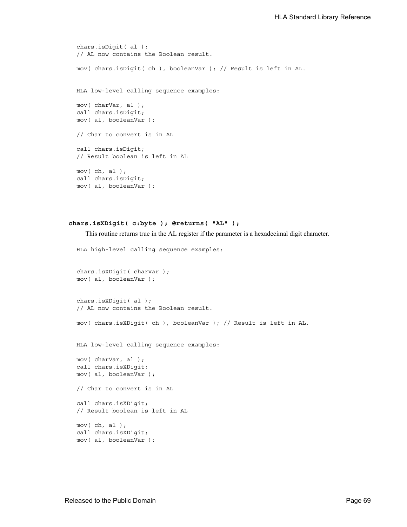```
chars.isDigit( al );
// AL now contains the Boolean result.
mov( chars.isDigit( ch ), booleanVar ); // Result is left in AL.
HLA low-level calling sequence examples:
mov( charVar, al );
call chars.isDigit;
mov( al, booleanVar );
// Char to convert is in AL
call chars.isDigit;
// Result boolean is left in AL
mov( ch, al );
call chars.isDigit;
mov( al, booleanVar );
```

```
 chars.isXDigit( c:byte ); @returns( "AL" );
```
This routine returns true in the AL register if the parameter is a hexadecimal digit character.

```
HLA high-level calling sequence examples:
chars.isXDigit( charVar );
mov( al, booleanVar );
chars.isXDigit( al );
// AL now contains the Boolean result.
mov( chars.isXDigit( ch ), booleanVar ); // Result is left in AL.
HLA low-level calling sequence examples:
mov( charVar, al );
call chars.isXDigit;
mov( al, booleanVar );
// Char to convert is in AL
call chars.isXDigit;
// Result boolean is left in AL
mov( ch, al );
call chars.isXDigit;
mov( al, booleanVar );
```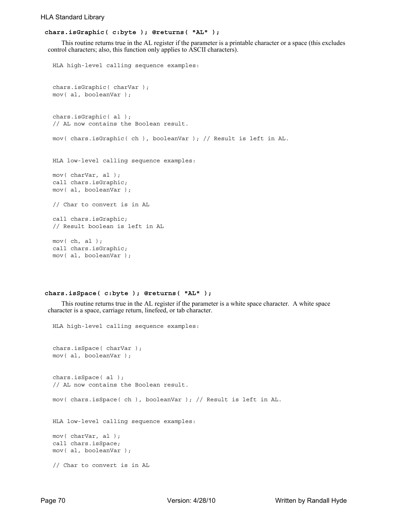#### HLA Standard Library

#### **chars.isGraphic( c:byte ); @returns( "AL" );**

 This routine returns true in the AL register if the parameter is a printable character or a space (this excludes control characters; also, this function only applies to ASCII characters).

```
HLA high-level calling sequence examples:
chars.isGraphic( charVar );
mov( al, booleanVar );
chars.isGraphic( al );
// AL now contains the Boolean result.
mov( chars.isGraphic( ch ), booleanVar ); // Result is left in AL.
HLA low-level calling sequence examples:
mov( charVar, al );
call chars.isGraphic;
mov( al, booleanVar );
// Char to convert is in AL
call chars.isGraphic;
// Result boolean is left in AL
mov( ch, al );
call chars.isGraphic;
mov( al, booleanVar );
```
#### **chars.isSpace( c:byte ); @returns( "AL" );**

 This routine returns true in the AL register if the parameter is a white space character. A white space character is a space, carriage return, linefeed, or tab character.

```
HLA high-level calling sequence examples:
chars.isSpace( charVar );
mov( al, booleanVar );
chars.isSpace( al );
// AL now contains the Boolean result.
mov( chars.isSpace( ch ), booleanVar ); // Result is left in AL.
HLA low-level calling sequence examples:
mov( charVar, al );
call chars.isSpace;
mov( al, booleanVar );
// Char to convert is in AL
```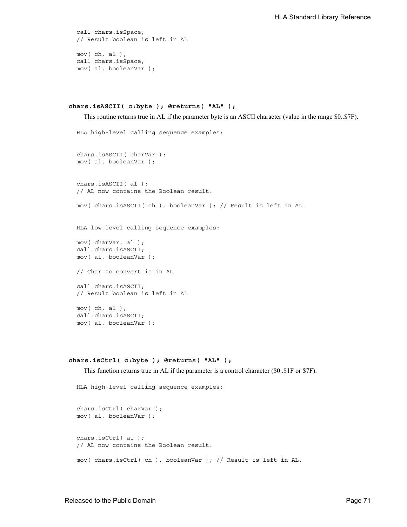```
call chars.isSpace;
// Result boolean is left in AL
mov( ch, al );
call chars.isSpace;
mov( al, booleanVar );
```

```
 chars.isASCII( c:byte ); @returns( "AL" );
```
This routine returns true in AL if the parameter byte is an ASCII character (value in the range \$0..\$7F).

```
HLA high-level calling sequence examples:
chars.isASCII( charVar );
mov( al, booleanVar );
chars.isASCII( al );
// AL now contains the Boolean result.
mov( chars.isASCII( ch ), booleanVar ); // Result is left in AL.
HLA low-level calling sequence examples:
mov( charVar, al );
call chars.isASCII;
mov( al, booleanVar );
// Char to convert is in AL
call chars.isASCII;
// Result boolean is left in AL
mov( ch, al );
call chars.isASCII;
mov( al, booleanVar );
```
#### **chars.isCtrl( c:byte ); @returns( "AL" );**

This function returns true in AL if the parameter is a control character (\$0..\$1F or \$7F).

```
HLA high-level calling sequence examples:
chars.isCtrl( charVar );
mov( al, booleanVar );
chars.isCtrl( al );
// AL now contains the Boolean result.
mov( chars.isCtrl( ch ), booleanVar ); // Result is left in AL.
```